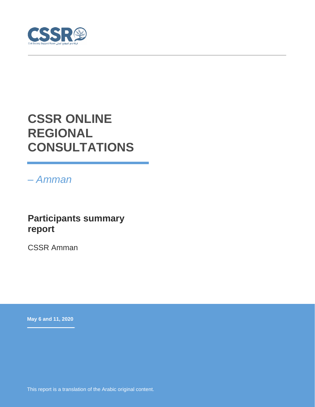

# **CSSR ONLINE REGIONAL CONSULTATIONS**

*– Amman* 

## **Participants summary report**

CSSR Amman

**May 6 and 11, 2020**

This report is a translation of the Arabic original content.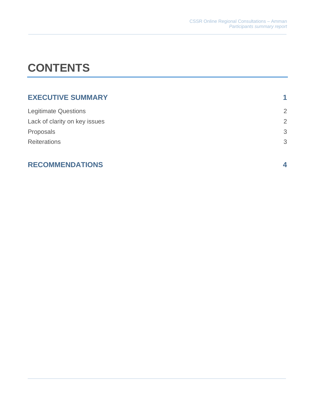# **CONTENTS**

| <b>EXECUTIVE SUMMARY</b>      | 1              |
|-------------------------------|----------------|
| <b>Legitimate Questions</b>   | $\overline{2}$ |
| Lack of clarity on key issues | $\overline{2}$ |
| Proposals                     | 3              |
| <b>Reiterations</b>           | 3              |

#### **RECOMMENDATIONS 4**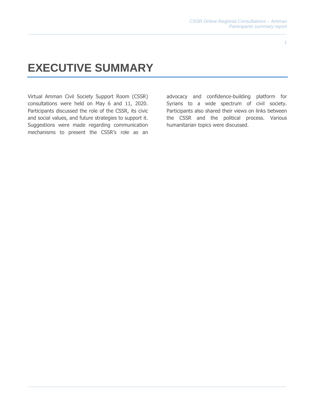1

# **EXECUTIVE SUMMARY**

Virtual Amman Civil Society Support Room (CSSR) consultations were held on May 6 and 11, 2020. Participants discussed the role of the CSSR, its civic and social values, and future strategies to support it. Suggestions were made regarding communication mechanisms to present the CSSR's role as an

advocacy and confidence-building platform for Syrians to a wide spectrum of civil society. Participants also shared their views on links between the CSSR and the political process. Various humanitarian topics were discussed.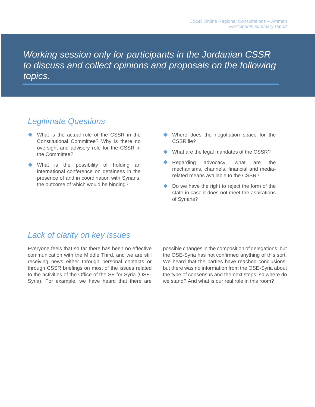*Working session only for participants in the Jordanian CSSR to discuss and collect opinions and proposals on the following topics.*

#### *Legitimate Questions*

- What is the actual role of the CSSR in the Constitutional Committee? Why is there no oversight and advisory role for the CSSR in the Committee?
- What is the possibility of holding an international conference on detainees in the presence of and in coordination with Syrians, the outcome of which would be binding?
- ◆ Where does the negotiation space for the CSSR lie?
- ◆ What are the legal mandates of the CSSR?
- ◆ Regarding advocacy, what are the mechanisms, channels, financial and mediarelated means available to the CSSR?
- ◆ Do we have the right to reject the form of the state in case it does not meet the aspirations of Syrians?

#### *Lack of clarity on key issues*

Everyone feels that so far there has been no effective communication with the Middle Third, and we are still receiving news either through personal contacts or through CSSR briefings on most of the issues related to the activities of the Office of the SE for Syria (OSE-Syria). For example, we have heard that there are possible changes in the composition of delegations, but the OSE-Syria has not confirmed anything of this sort. We heard that the parties have reached conclusions, but there was no information from the OSE-Syria about the type of consensus and the next steps, so where do we stand? And what is our real role in this room?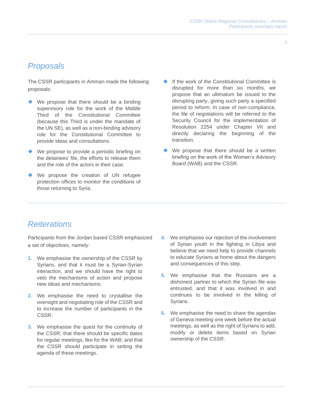### *Proposals*

The CSSR participants in Amman made the following proposals:

- We propose that there should be a binding supervisory role for the work of the Middle Third of the Constitutional Committee (because this Third is under the mandate of the UN SE), as well as a non-binding advisory role for the Constitutional Committee to provide ideas and consultations.
- ◆ We propose to provide a periodic briefing on the detainees' file, the efforts to release them and the role of the actors in their case.
- ◆ We propose the creation of UN refugee protection offices to monitor the conditions of those returning to Syria.
- If the work of the Constitutional Committee is disrupted for more than six months, we propose that an ultimatum be issued to the disrupting party, giving such party a specified period to reform. In case of non-compliance, the file of negotiations will be referred to the Security Council for the implementation of Resolution 2254 under Chapter VII and directly declaring the beginning of the transition.
- We propose that there should be a written briefing on the work of the Women's Advisory Board (WAB) and the CSSR.

#### *Reiterations*

Participants from the Jordan based CSSR emphasized a set of objectives, namely:

- **1.** We emphasise the ownership of the CSSR by Syrians, and that it must be a Syrian-Syrian interaction, and we should have the right to veto the mechanisms of action and propose new ideas and mechanisms.
- **2.** We emphasise the need to crystallise the oversight and negotiating role of the CSSR and to increase the number of participants in the CSSR.
- **3.** We emphasise the quest for the continuity of the CSSR; that there should be specific dates for regular meetings, like for the WAB; and that the CSSR should participate in setting the agenda of these meetings.
- **4.** We emphasise our rejection of the involvement of Syrian youth in the fighting in Libya and believe that we need help to provide channels to educate Syrians at home about the dangers and consequences of this step.
- **5.** We emphasise that the Russians are a dishonest partner to which the Syrian file was entrusted, and that it was involved in and continues to be involved in the killing of Syrians.
- **6.** We emphasise the need to share the agendas of Geneva meeting one week before the actual meetings, as well as the right of Syrians to add, modify or delete items based on Syrian ownership of the CSSR.

3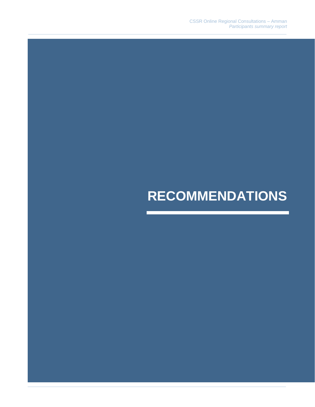# **RECOMMENDATIONS**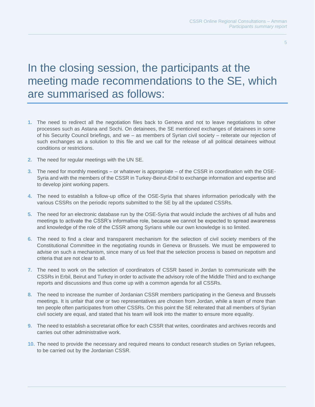5

## In the closing session, the participants at the meeting made recommendations to the SE, which are summarised as follows:

- **1.** The need to redirect all the negotiation files back to Geneva and not to leave negotiations to other processes such as Astana and Sochi. On detainees, the SE mentioned exchanges of detainees in some of his Security Council briefings, and we – as members of Syrian civil society – reiterate our rejection of such exchanges as a solution to this file and we call for the release of all political detainees without conditions or restrictions.
- **2.** The need for regular meetings with the UN SE.
- **3.** The need for monthly meetings or whatever is appropriate of the CSSR in coordination with the OSE-Syria and with the members of the CSSR in Turkey-Beirut-Erbil to exchange information and expertise and to develop joint working papers.
- **4.** The need to establish a follow-up office of the OSE-Syria that shares information periodically with the various CSSRs on the periodic reports submitted to the SE by all the updated CSSRs.
- **5.** The need for an electronic database run by the OSE-Syria that would include the archives of all hubs and meetings to activate the CSSR's informative role, because we cannot be expected to spread awareness and knowledge of the role of the CSSR among Syrians while our own knowledge is so limited.
- **6.** The need to find a clear and transparent mechanism for the selection of civil society members of the Constitutional Committee in the negotiating rounds in Geneva or Brussels. We must be empowered to advise on such a mechanism, since many of us feel that the selection process is based on nepotism and criteria that are not clear to all.
- **7.** The need to work on the selection of coordinators of CSSR based in Jordan to communicate with the CSSRs in Erbil, Beirut and Turkey in order to activate the advisory role of the Middle Third and to exchange reports and discussions and thus come up with a common agenda for all CSSRs.
- **8.** The need to increase the number of Jordanian CSSR members participating in the Geneva and Brussels meetings. It is unfair that one or two representatives are chosen from Jordan, while a team of more than ten people often participates from other CSSRs. On this point the SE reiterated that all members of Syrian civil society are equal, and stated that his team will look into the matter to ensure more equality.
- **9.** The need to establish a secretariat office for each CSSR that writes, coordinates and archives records and carries out other administrative work.
- **10.** The need to provide the necessary and required means to conduct research studies on Syrian refugees, to be carried out by the Jordanian CSSR.